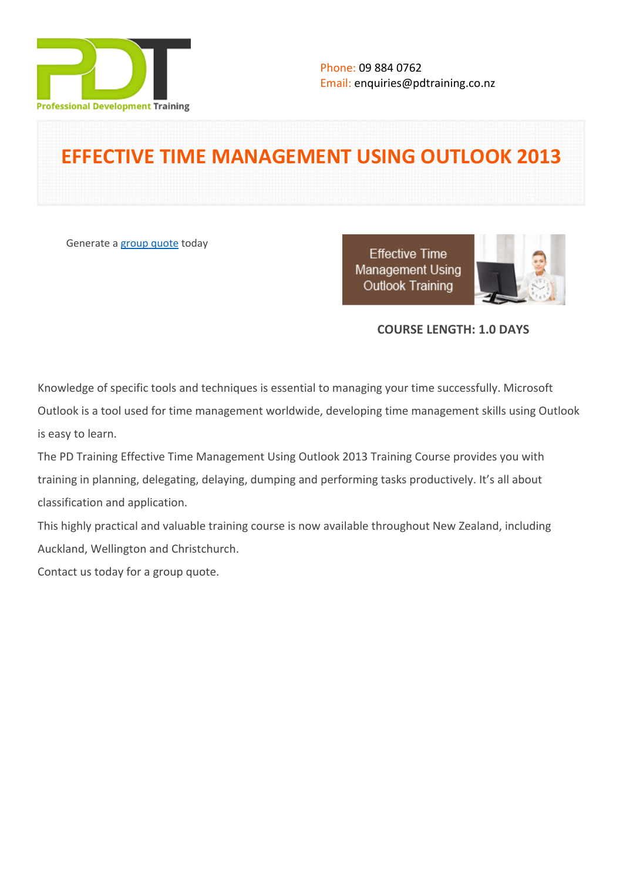

# **EFFECTIVE TIME MANAGEMENT USING OUTLOOK 2013**

Generate a [group quote](https://pdtraining.co.nz/inhouse-training-quote?cse=PDT2426) today

**Effective Time** Management Using **Outlook Training** 



# **COURSE LENGTH: 1.0 DAYS**

Knowledge of specific tools and techniques is essential to managing your time successfully. Microsoft Outlook is a tool used for time management worldwide, developing time management skills using Outlook is easy to learn.

The PD Training Effective Time Management Using Outlook 2013 Training Course provides you with training in planning, delegating, delaying, dumping and performing tasks productively. It's all about classification and application.

This highly practical and valuable training course is now available throughout New Zealand, including Auckland, Wellington and Christchurch.

Contact us today for a [group quote.](https://pdtraining.co.nz/bookings/inhouseex1/quoterequestex1a.aspx)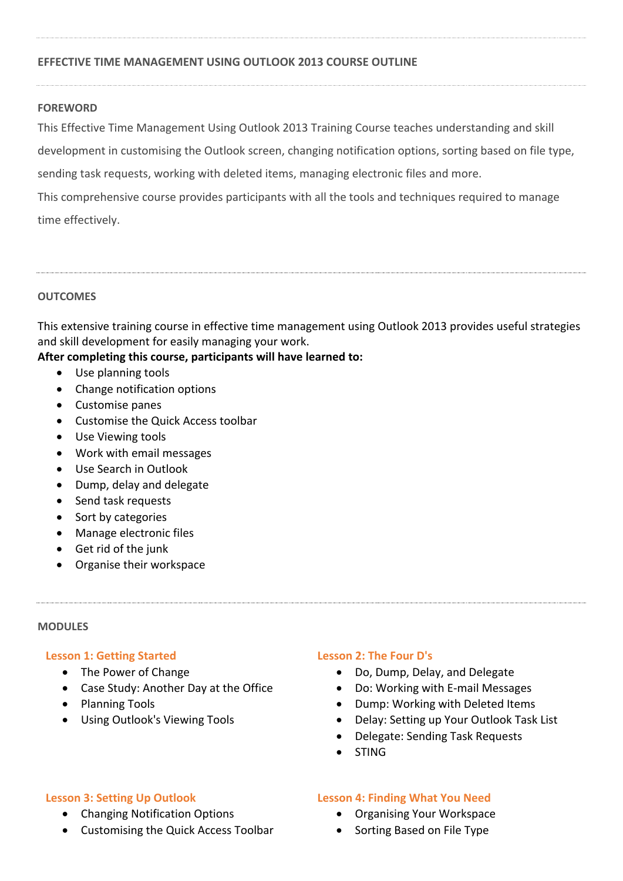# **EFFECTIVE TIME MANAGEMENT USING OUTLOOK 2013 COURSE OUTLINE**

#### **FOREWORD**

This Effective Time Management Using Outlook 2013 Training Course teaches understanding and skill development in customising the Outlook screen, changing notification options, sorting based on file type, sending task requests, working with deleted items, managing electronic files and more. This comprehensive course provides participants with all the tools and techniques required to manage time effectively.

# **OUTCOMES**

This extensive training course in effective time management using Outlook 2013 provides useful strategies and skill development for easily managing your work.

# **After completing this course, participants will have learned to:**

- Use planning tools
- Change notification options
- Customise panes
- Customise the Quick Access toolbar
- Use Viewing tools
- Work with email messages
- Use Search in Outlook
- Dump, delay and delegate
- Send task requests
- Sort by categories
- Manage electronic files
- Get rid of the junk
- Organise their workspace

#### **MODULES**

#### **Lesson 1: Getting Started**

- The Power of Change
- Case Study: Another Day at the Office
- Planning Tools
- Using Outlook's Viewing Tools

#### **Lesson 2: The Four D's**

- Do, Dump, Delay, and Delegate
- Do: Working with E-mail Messages
- Dump: Working with Deleted Items
- Delay: Setting up Your Outlook Task List
- Delegate: Sending Task Requests
- STING

#### **Lesson 3: Setting Up Outlook**

- Changing Notification Options
- Customising the Quick Access Toolbar

#### **Lesson 4: Finding What You Need**

- Organising Your Workspace
- Sorting Based on File Type